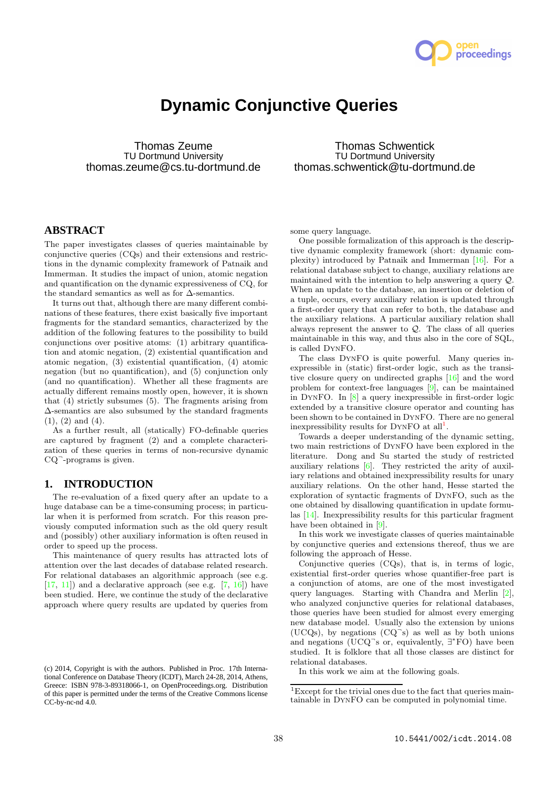

# **Dynamic Conjunctive Queries**

Thomas Zeume TU Dortmund University thomas.zeume@cs.tu-dortmund.de

Thomas Schwentick TU Dortmund University thomas.schwentick@tu-dortmund.de

# **ABSTRACT**

The paper investigates classes of queries maintainable by conjunctive queries (CQs) and their extensions and restrictions in the dynamic complexity framework of Patnaik and Immerman. It studies the impact of union, atomic negation and quantification on the dynamic expressiveness of CQ, for the standard semantics as well as for  $\Delta$ -semantics.

It turns out that, although there are many different combinations of these features, there exist basically five important fragments for the standard semantics, characterized by the addition of the following features to the possibility to build conjunctions over positive atoms: (1) arbitrary quantification and atomic negation, (2) existential quantification and atomic negation, (3) existential quantification, (4) atomic negation (but no quantification), and (5) conjunction only (and no quantification). Whether all these fragments are actually different remains mostly open, however, it is shown that (4) strictly subsumes (5). The fragments arising from ∆-semantics are also subsumed by the standard fragments  $(1), (2)$  and  $(4).$ 

As a further result, all (statically) FO-definable queries are captured by fragment (2) and a complete characterization of these queries in terms of non-recursive dynamic CQ<sup>-</sup>-programs is given.

#### **1. INTRODUCTION**

The re-evaluation of a fixed query after an update to a huge database can be a time-consuming process; in particular when it is performed from scratch. For this reason previously computed information such as the old query result and (possibly) other auxiliary information is often reused in order to speed up the process.

This maintenance of query results has attracted lots of attention over the last decades of database related research. For relational databases an algorithmic approach (see e.g.  $[17, 11]$  and a declarative approach (see e.g.  $[7, 16]$ ) have been studied. Here, we continue the study of the declarative approach where query results are updated by queries from

some query language.

One possible formalization of this approach is the descriptive dynamic complexity framework (short: dynamic complexity) introduced by Patnaik and Immerman [16]. For a relational database subject to change, auxiliary relations are maintained with the intention to help answering a query Q. When an update to the database, an insertion or deletion of a tuple, occurs, every auxiliary relation is updated through a first-order query that can refer to both, the database and the auxiliary relations. A particular auxiliary relation shall always represent the answer to Q. The class of all queries maintainable in this way, and thus also in the core of SQL, is called DynFO.

The class DynFO is quite powerful. Many queries inexpressible in (static) first-order logic, such as the transitive closure query on undirected graphs [16] and the word problem for context-free languages [9], can be maintained in DynFO. In [8] a query inexpressible in first-order logic extended by a transitive closure operator and counting has been shown to be contained in DynFO. There are no general inexpressibility results for  $DYNFO$  at all<sup>1</sup>.

Towards a deeper understanding of the dynamic setting, two main restrictions of DynFO have been explored in the literature. Dong and Su started the study of restricted auxiliary relations [6]. They restricted the arity of auxiliary relations and obtained inexpressibility results for unary auxiliary relations. On the other hand, Hesse started the exploration of syntactic fragments of DynFO, such as the one obtained by disallowing quantification in update formulas [14]. Inexpressibility results for this particular fragment have been obtained in [9].

In this work we investigate classes of queries maintainable by conjunctive queries and extensions thereof, thus we are following the approach of Hesse.

Conjunctive queries (CQs), that is, in terms of logic, existential first-order queries whose quantifier-free part is a conjunction of atoms, are one of the most investigated query languages. Starting with Chandra and Merlin [2], who analyzed conjunctive queries for relational databases, those queries have been studied for almost every emerging new database model. Usually also the extension by unions (UCQs), by negations (CQ<sup>¬</sup> s) as well as by both unions and negations (UCQ $\bar{ }$ s or, equivalently,  $\exists$ \*FO) have been studied. It is folklore that all those classes are distinct for relational databases.

In this work we aim at the following goals.

<sup>(</sup>c) 2014, Copyright is with the authors. Published in Proc. 17th International Conference on Database Theory (ICDT), March 24-28, 2014, Athens, Greece: ISBN 978-3-89318066-1, on OpenProceedings.org. Distribution of this paper is permitted under the terms of the Creative Commons license CC-by-nc-nd 4.0.

<sup>1</sup>Except for the trivial ones due to the fact that queries maintainable in DynFO can be computed in polynomial time.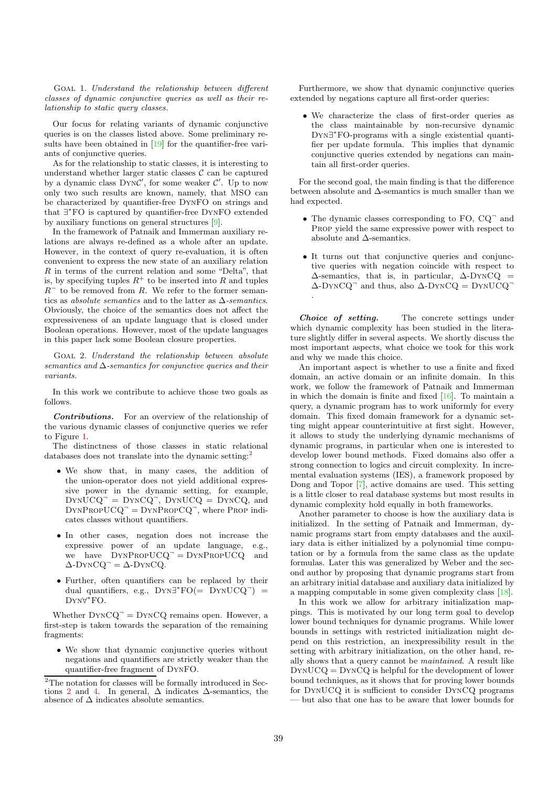Goal 1. Understand the relationship between different classes of dynamic conjunctive queries as well as their relationship to static query classes.

Our focus for relating variants of dynamic conjunctive queries is on the classes listed above. Some preliminary results have been obtained in [19] for the quantifier-free variants of conjunctive queries.

As for the relationship to static classes, it is interesting to understand whether larger static classes  $\mathcal C$  can be captured by a dynamic class  $DYNC'$ , for some weaker  $C'$ . Up to now only two such results are known, namely, that MSO can be characterized by quantifier-free DynFO on strings and that ∃ <sup>∗</sup>FO is captured by quantifier-free DynFO extended by auxiliary functions on general structures [9].

In the framework of Patnaik and Immerman auxiliary relations are always re-defined as a whole after an update. However, in the context of query re-evaluation, it is often convenient to express the new state of an auxiliary relation R in terms of the current relation and some "Delta", that is, by specifying tuples  $R^+$  to be inserted into R and tuples  $R^-$  to be removed from R. We refer to the former semantics as *absolute semantics* and to the latter as  $\Delta$ -semantics. Obviously, the choice of the semantics does not affect the expressiveness of an update language that is closed under Boolean operations. However, most of the update languages in this paper lack some Boolean closure properties.

Goal 2. Understand the relationship between absolute semantics and  $\Delta$ -semantics for conjunctive queries and their variants.

In this work we contribute to achieve those two goals as follows.

Contributions. For an overview of the relationship of the various dynamic classes of conjunctive queries we refer to Figure 1.

The distinctness of those classes in static relational databases does not translate into the dynamic setting:<sup>2</sup>

- We show that, in many cases, the addition of the union-operator does not yield additional expressive power in the dynamic setting, for example,  $DYNUCQ^- = DYNCQ^-$ ,  $DYNUCQ = DYNCQ$ , and  $DYNPROPUCQ^- = DYNPROP CQ^-,$  where Prop indicates classes without quantifiers.
- In other cases, negation does not increase the expressive power of an update language, e.g., we have  $DYNPROPUCQ^{\dagger} = DYNPROPUCQ$  and  $\Delta$ -DYNCQ<sup>-</sup> =  $\Delta$ -DYNCQ.
- Further, often quantifiers can be replaced by their dual quantifiers, e.g.,  $DYN\exists^* FO (= DYNUCQ^-) =$ Dyn∀ <sup>∗</sup>FO.

Whether  $DYNCQ^{\dagger} = DYNCQ$  remains open. However, a first-step is taken towards the separation of the remaining fragments:

• We show that dynamic conjunctive queries without negations and quantifiers are strictly weaker than the quantifier-free fragment of DynFO.

Furthermore, we show that dynamic conjunctive queries extended by negations capture all first-order queries:

• We characterize the class of first-order queries as the class maintainable by non-recursive dynamic Dyn∃ <sup>∗</sup>FO-programs with a single existential quantifier per update formula. This implies that dynamic conjunctive queries extended by negations can maintain all first-order queries.

For the second goal, the main finding is that the difference between absolute and ∆-semantics is much smaller than we had expected.

- $\bullet$  The dynamic classes corresponding to FO, CQ $\degree$  and PROP yield the same expressive power with respect to absolute and  $\Delta$ -semantics.
- It turns out that conjunctive queries and conjunctive queries with negation coincide with respect to  $\Delta$ -semantics, that is, in particular,  $\Delta$ -DYNCQ =  $\Delta$ -DYNCQ $\bar{Q}$  and thus, also  $\Delta$ -DYNCQ = DYNUCQ $\bar{Q}$ .

Choice of setting. The concrete settings under which dynamic complexity has been studied in the literature slightly differ in several aspects. We shortly discuss the most important aspects, what choice we took for this work and why we made this choice.

An important aspect is whether to use a finite and fixed domain, an active domain or an infinite domain. In this work, we follow the framework of Patnaik and Immerman in which the domain is finite and fixed [16]. To maintain a query, a dynamic program has to work uniformly for every domain. This fixed domain framework for a dynamic setting might appear counterintuitive at first sight. However, it allows to study the underlying dynamic mechanisms of dynamic programs, in particular when one is interested to develop lower bound methods. Fixed domains also offer a strong connection to logics and circuit complexity. In incremental evaluation systems (IES), a framework proposed by Dong and Topor [7], active domains are used. This setting is a little closer to real database systems but most results in dynamic complexity hold equally in both frameworks.

Another parameter to choose is how the auxiliary data is initialized. In the setting of Patnaik and Immerman, dynamic programs start from empty databases and the auxiliary data is either initialized by a polynomial time computation or by a formula from the same class as the update formulas. Later this was generalized by Weber and the second author by proposing that dynamic programs start from an arbitrary initial database and auxiliary data initialized by a mapping computable in some given complexity class [18].

In this work we allow for arbitrary initialization mappings. This is motivated by our long term goal to develop lower bound techniques for dynamic programs. While lower bounds in settings with restricted initialization might depend on this restriction, an inexpressibility result in the setting with arbitrary initialization, on the other hand, really shows that a query cannot be maintained. A result like DynUCQ = DynCQ is helpful for the development of lower bound techniques, as it shows that for proving lower bounds for DynUCQ it is sufficient to consider DynCQ programs — but also that one has to be aware that lower bounds for

 $^{2}\mathrm{The}$  notation for classes will be formally introduced in Sections 2 and 4. In general,  $\Delta$  indicates  $\Delta$ -semantics, the absence of  $\Delta$  indicates absolute semantics.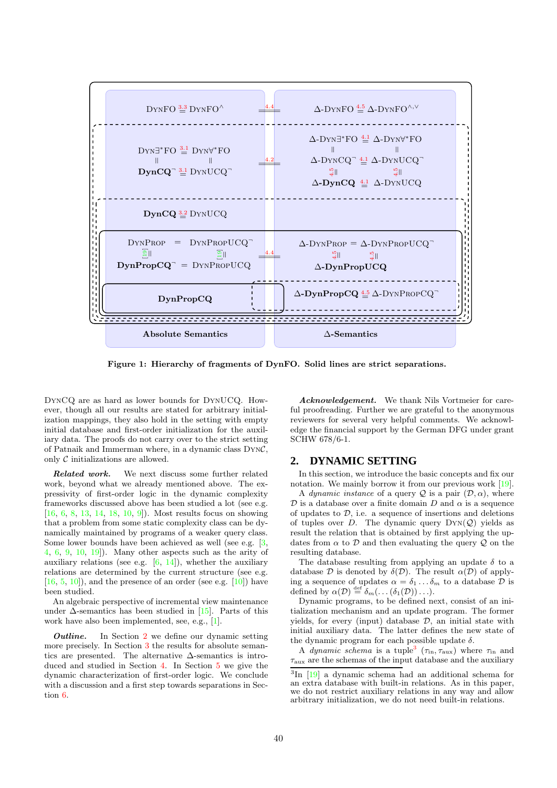

Figure 1: Hierarchy of fragments of DynFO. Solid lines are strict separations.

DynCQ are as hard as lower bounds for DynUCQ. However, though all our results are stated for arbitrary initialization mappings, they also hold in the setting with empty initial database and first-order initialization for the auxiliary data. The proofs do not carry over to the strict setting of Patnaik and Immerman where, in a dynamic class DynC, only  $C$  initializations are allowed.

Related work. We next discuss some further related work, beyond what we already mentioned above. The expressivity of first-order logic in the dynamic complexity frameworks discussed above has been studied a lot (see e.g. [16, 6, 8, 13, 14, 18, 10, 9]). Most results focus on showing that a problem from some static complexity class can be dynamically maintained by programs of a weaker query class. Some lower bounds have been achieved as well (see e.g. [3, 4, 6, 9, 10, 19]). Many other aspects such as the arity of auxiliary relations (see e.g.  $[6, 14]$ ), whether the auxiliary relations are determined by the current structure (see e.g.  $[16, 5, 10]$ , and the presence of an order (see e.g.  $[10]$ ) have been studied.

An algebraic perspective of incremental view maintenance under  $\Delta$ -semantics has been studied in [15]. Parts of this work have also been implemented, see, e.g., [1].

**Outline.** In Section 2 we define our dynamic setting more precisely. In Section 3 the results for absolute semantics are presented. The alternative  $\Delta$ -semantics is introduced and studied in Section 4. In Section 5 we give the dynamic characterization of first-order logic. We conclude with a discussion and a first step towards separations in Section 6.

Acknowledgement. We thank Nils Vortmeier for careful proofreading. Further we are grateful to the anonymous reviewers for several very helpful comments. We acknowledge the financial support by the German DFG under grant SCHW 678/6-1.

### **2. DYNAMIC SETTING**

In this section, we introduce the basic concepts and fix our notation. We mainly borrow it from our previous work [19].

A dynamic instance of a query  $\mathcal Q$  is a pair  $(\mathcal D, \alpha)$ , where D is a database over a finite domain D and  $\alpha$  is a sequence of updates to  $D$ , i.e. a sequence of insertions and deletions of tuples over D. The dynamic query  $DYN(Q)$  yields as result the relation that is obtained by first applying the updates from  $\alpha$  to  $\mathcal D$  and then evaluating the query  $\mathcal Q$  on the resulting database.

The database resulting from applying an update  $\delta$  to a database  $\mathcal D$  is denoted by  $\delta(\mathcal D)$ . The result  $\alpha(\mathcal D)$  of applying a sequence of updates  $\alpha = \delta_1 \dots \delta_m$  to a database  $\mathcal D$  is defined by  $\alpha(\mathcal{D}) \stackrel{\text{def}}{=} \delta_m(\dots(\delta_1(\mathcal{D}))\dots).$ 

Dynamic programs, to be defined next, consist of an initialization mechanism and an update program. The former yields, for every (input) database  $D$ , an initial state with initial auxiliary data. The latter defines the new state of the dynamic program for each possible update  $\delta$ .

A *dynamic schema* is a tuple<sup>3</sup> ( $\tau_{\text{in}}$ ,  $\tau_{\text{aux}}$ ) where  $\tau_{\text{in}}$  and  $\tau_{\text{aux}}$  are the schemas of the input database and the auxiliary

<sup>3</sup> In [19] a dynamic schema had an additional schema for an extra database with built-in relations. As in this paper, we do not restrict auxiliary relations in any way and allow arbitrary initialization, we do not need built-in relations.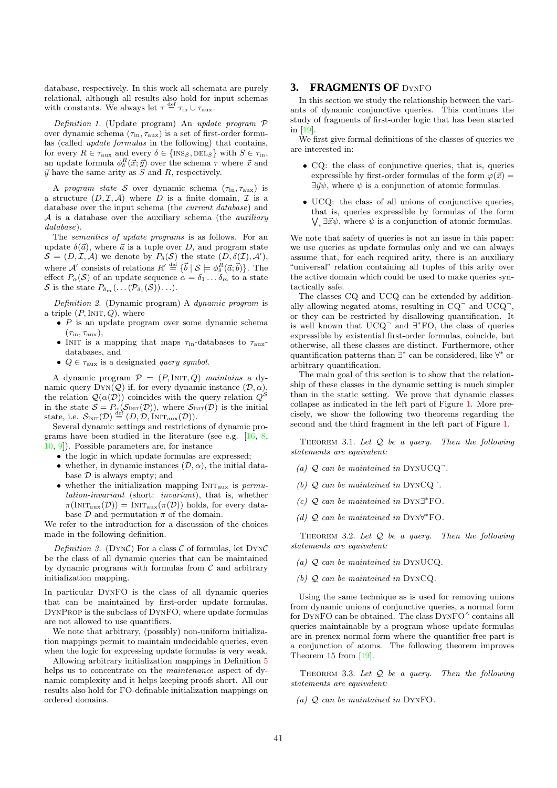database, respectively. In this work all schemata are purely relational, although all results also hold for input schemas with constants. We always let  $\tau \stackrel{\text{def}}{=} \tau_{\text{in}} \cup \tau_{\text{aux}}$ .

Definition 1. (Update program) An update program  $P$ over dynamic schema  $(\tau_{\text{in}}, \tau_{\text{aux}})$  is a set of first-order formulas (called update formulas in the following) that contains, for every  $R \in \tau_{\text{aux}}$  and every  $\delta \in \{\text{INS}_S, \text{DEL}_S\}$  with  $S \in \tau_{\text{in}}$ , an update formula  $\phi^R_\delta(\vec{x}; \vec{y})$  over the schema  $\tau$  where  $\vec{x}$  and  $\vec{y}$  have the same arity as S and R, respectively.

A program state S over dynamic schema  $(\tau_{\text{in}}, \tau_{\text{aux}})$  is a structure  $(D, \mathcal{I}, \mathcal{A})$  where D is a finite domain,  $\mathcal{I}$  is a database over the input schema (the current database) and  $A$  is a database over the auxiliary schema (the *auxiliary* database).

The semantics of update programs is as follows. For an update  $\delta(\vec{a})$ , where  $\vec{a}$  is a tuple over D, and program state  $\mathcal{S} = (D, \mathcal{I}, \mathcal{A})$  we denote by  $P_{\delta}(\mathcal{S})$  the state  $(D, \delta(\mathcal{I}), \mathcal{A}'),$ where A' consists of relations  $R' \stackrel{\text{def}}{=} {\{\vec{b} \mid S \models \phi_{\delta}^R(\vec{a}; \vec{b})\}}$ . The effect  $P_{\alpha}(S)$  of an update sequence  $\alpha = \delta_1 \dots \delta_m$  to a state S is the state  $P_{\delta_m}(\ldots(\mathcal{P}_{\delta_1}(\mathcal{S}))\ldots).$ 

Definition 2. (Dynamic program) A dynamic program is a triple  $(P, \text{INIT}, Q)$ , where

- $\bullet$  P is an update program over some dynamic schema  $(\tau_{\rm in}, \tau_{\rm aux}),$
- INIT is a mapping that maps  $\tau_{\text{in}}$ -databases to  $\tau_{\text{aux}}$ databases, and
- $Q \in \tau_{\text{aux}}$  is a designated *query symbol*.

A dynamic program  $P = (P, \text{INIT}, Q)$  maintains a dynamic query  $DYN(Q)$  if, for every dynamic instance  $(D, \alpha)$ , the relation  $\mathcal{Q}(\alpha(\mathcal{D}))$  coincides with the query relation  $Q^{\mathcal{S}}$ in the state  $S = P_{\alpha}(\mathcal{S}_{\text{INIT}}(\mathcal{D}))$ , where  $\mathcal{S}_{\text{INIT}}(\mathcal{D})$  is the initial state, i.e.  $\mathcal{S}_{\text{INIT}}(\mathcal{D}) \stackrel{\text{def}}{=} (D, \mathcal{D}, \widetilde{\text{INIT}}_{\text{aux}}(\mathcal{D})).$ 

Several dynamic settings and restrictions of dynamic programs have been studied in the literature (see e.g.  $[16, 8,$ 10, 9]). Possible parameters are, for instance

- the logic in which update formulas are expressed;
- whether, in dynamic instances  $(\mathcal{D}, \alpha)$ , the initial database  $D$  is always empty; and
- whether the initialization mapping  $INT_{aux}$  is permutation-invariant (short: invariant), that is, whether  $\pi(\text{INIT}_{\text{aux}}(\mathcal{D})) = \text{INIT}_{\text{aux}}(\pi(\mathcal{D}))$  holds, for every database  $\mathcal D$  and permutation  $\pi$  of the domain.

We refer to the introduction for a discussion of the choices made in the following definition.

Definition 3. (DYNC) For a class  $\mathcal C$  of formulas, let DYNC be the class of all dynamic queries that can be maintained by dynamic programs with formulas from  $C$  and arbitrary initialization mapping.

In particular DynFO is the class of all dynamic queries that can be maintained by first-order update formulas. DynProp is the subclass of DynFO, where update formulas are not allowed to use quantifiers.

We note that arbitrary, (possibly) non-uniform initialization mappings permit to maintain undecidable queries, even when the logic for expressing update formulas is very weak.

Allowing arbitrary initialization mappings in Definition 5 helps us to concentrate on the maintenance aspect of dynamic complexity and it helps keeping proofs short. All our results also hold for FO-definable initialization mappings on ordered domains.

#### **3. FRAGMENTS OF** DynFO

In this section we study the relationship between the variants of dynamic conjunctive queries. This continues the study of fragments of first-order logic that has been started in [19].

We first give formal definitions of the classes of queries we are interested in:

- CQ: the class of conjunctive queries, that is, queries expressible by first-order formulas of the form  $\varphi(\vec{x}) =$  $\exists \vec{y}\psi$ , where  $\psi$  is a conjunction of atomic formulas.
- UCQ: the class of all unions of conjunctive queries, that is, queries expressible by formulas of the form  $\bigvee_i \exists \vec{x} \psi$ , where  $\psi$  is a conjunction of atomic formulas.

We note that safety of queries is not an issue in this paper: we use queries as update formulas only and we can always assume that, for each required arity, there is an auxiliary "universal" relation containing all tuples of this arity over the active domain which could be used to make queries syntactically safe.

The classes CQ and UCQ can be extended by additionally allowing negated atoms, resulting in  $CQ^-$  and  $UCQ^-$ , or they can be restricted by disallowing quantification. It is well known that  $UCQ^-$  and  $\exists^* FO$ , the class of queries expressible by existential first-order formulas, coincide, but otherwise, all these classes are distinct. Furthermore, other quantification patterns than ∃<sup>\*</sup> can be considered, like ∀<sup>\*</sup> or arbitrary quantification.

The main goal of this section is to show that the relationship of these classes in the dynamic setting is much simpler than in the static setting. We prove that dynamic classes collapse as indicated in the left part of Figure 1. More precisely, we show the following two theorems regarding the second and the third fragment in the left part of Figure 1.

THEOREM 3.1. Let  $Q$  be a query. Then the following statements are equivalent:

- (a)  $Q$  can be maintained in DYNUCQ<sup>-</sup>.
- (b)  $Q$  can be maintained in  $DYNCQ$ .
- (c)  $Q$  can be maintained in  $DYN\exists^*$ FO.
- (d)  $Q$  can be maintained in DYN $\forall^*$ FO.

THEOREM 3.2. Let  $Q$  be a query. Then the following statements are equivalent:

- (a) Q can be maintained in DynUCQ.
- (b) Q can be maintained in DynCQ.

Using the same technique as is used for removing unions from dynamic unions of conjunctive queries, a normal form for DYNFO can be obtained. The class  $\text{DYNFO}^\wedge$  contains all queries maintainable by a program whose update formulas are in prenex normal form where the quantifier-free part is a conjunction of atoms. The following theorem improves Theorem 15 from [19].

THEOREM 3.3. Let  $Q$  be a query. Then the following statements are equivalent:

(a)  $Q$  can be maintained in DYNFO.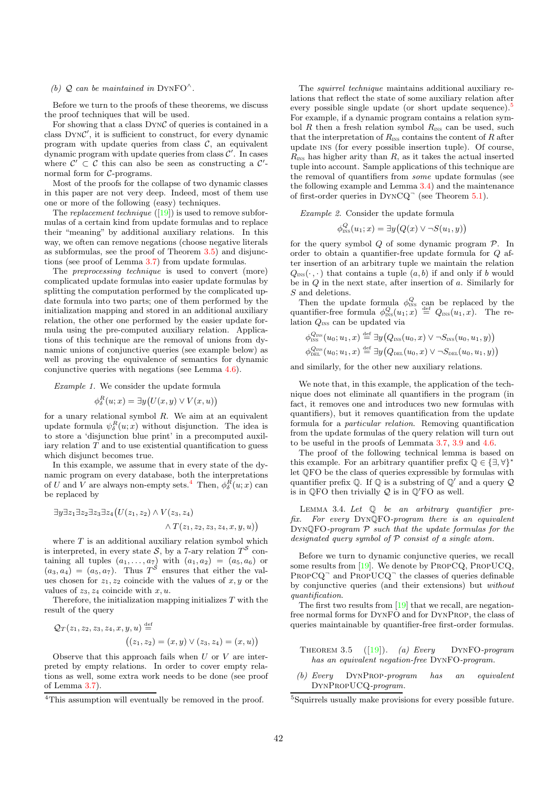#### (b)  $Q$  can be maintained in DYNFO $^{\wedge}$ .

Before we turn to the proofs of these theorems, we discuss the proof techniques that will be used.

For showing that a class  $DYNC$  of queries is contained in a class DYNC', it is sufficient to construct, for every dynamic program with update queries from class  $C$ , an equivalent dynamic program with update queries from class  $\mathcal{C}'$ . In cases where  $\mathcal{C}' \subset \mathcal{C}$  this can also be seen as constructing a  $\mathcal{C}'$ normal form for C-programs.

Most of the proofs for the collapse of two dynamic classes in this paper are not very deep. Indeed, most of them use one or more of the following (easy) techniques.

The *replacement technique*  $([19])$  is used to remove subformulas of a certain kind from update formulas and to replace their "meaning" by additional auxiliary relations. In this way, we often can remove negations (choose negative literals as subformulas, see the proof of Theorem 3.5) and disjunctions (see proof of Lemma 3.7) from update formulas.

The preprocessing technique is used to convert (more) complicated update formulas into easier update formulas by splitting the computation performed by the complicated update formula into two parts; one of them performed by the initialization mapping and stored in an additional auxiliary relation, the other one performed by the easier update formula using the pre-computed auxiliary relation. Applications of this technique are the removal of unions from dynamic unions of conjunctive queries (see example below) as well as proving the equivalence of semantics for dynamic conjunctive queries with negations (see Lemma 4.6).

Example 1. We consider the update formula

$$
\phi^R_{\delta}(u;x) = \exists y \big(U(x,y) \vee V(x,u)\big)
$$

for a unary relational symbol  $R$ . We aim at an equivalent update formula  $\psi_{\delta}^{R}(u; x)$  without disjunction. The idea is to store a 'disjunction blue print' in a precomputed auxiliary relation  $T$  and to use existential quantification to guess which disjunct becomes true.

In this example, we assume that in every state of the dynamic program on every database, both the interpretations of U and V are always non-empty sets.<sup>4</sup> Then,  $\phi_\delta^R(u; x)$  can be replaced by

$$
\exists y \exists z_1 \exists z_2 \exists z_3 \exists z_4 \big( U(z_1, z_2) \land V(z_3, z_4) \land T(z_1, z_2, z_3, z_4, x, y, u) \big)
$$

where  $T$  is an additional auxiliary relation symbol which is interpreted, in every state  $S$ , by a 7-ary relation  $T^S$  containing all tuples  $(a_1, \ldots, a_7)$  with  $(a_1, a_2) = (a_5, a_6)$  or  $(a_3, a_4) = (a_5, a_7)$ . Thus  $T<sup>S</sup>$  ensures that either the values chosen for  $z_1, z_2$  coincide with the values of  $x, y$  or the values of  $z_3, z_4$  coincide with  $x, u$ .

Therefore, the initialization mapping initializes  $T$  with the result of the query

$$
Q_T(z_1, z_2, z_3, z_4, x, y, u) \stackrel{\text{def}}{=} \left( (z_1, z_2) = (x, y) \vee (z_3, z_4) = (x, u) \right)
$$

Observe that this approach fails when  $U$  or  $V$  are interpreted by empty relations. In order to cover empty relations as well, some extra work needs to be done (see proof of Lemma 3.7).

The squirrel technique maintains additional auxiliary relations that reflect the state of some auxiliary relation after every possible single update (or short update sequence).<sup>5</sup> For example, if a dynamic program contains a relation symbol R then a fresh relation symbol  $R_{\text{INS}}$  can be used, such that the interpretation of  $R_{\text{INS}}$  contains the content of R after update ins (for every possible insertion tuple). Of course,  $R_{\text{INS}}$  has higher arity than  $R$ , as it takes the actual inserted tuple into account. Sample applications of this technique are the removal of quantifiers from some update formulas (see the following example and Lemma 3.4) and the maintenance of first-order queries in  $DYNCQ^-$  (see Theorem 5.1).

Example 2. Consider the update formula

$$
\phi_{\text{INS}}^Q(u_1; x) = \exists y \big(Q(x) \vee \neg S(u_1, y)\big)
$$

for the query symbol  $Q$  of some dynamic program  $P$ . In order to obtain a quantifier-free update formula for Q after insertion of an arbitrary tuple we maintain the relation  $Q_{\text{INS}}(\cdot, \cdot)$  that contains a tuple  $(a, b)$  if and only if b would be in  $Q$  in the next state, after insertion of  $a$ . Similarly for S and deletions.

Then the update formula  $\phi_{\text{INS}}^Q$  can be replaced by the quantifier-free formula  $\phi_{\text{INS}}^Q(u_1; x) \stackrel{\text{def}}{=} Q_{\text{INS}}(u_1, x)$ . The relation  $Q_{\text{INS}}$  can be updated via

$$
\phi_{\text{\tiny{INS}}}^{Q_{\text{\tiny{INS}}}}(u_0; u_1, x) \stackrel{\text{def}}{=} \exists y \big(Q_{\text{\tiny{INS}}}(u_0, x) \vee \neg S_{\text{\tiny{INS}}}(u_0, u_1, y)\big) \phi_{\text{\tiny{DEL}}}^{Q_{\text{\tiny{INS}}}}(u_0; u_1, x) \stackrel{\text{def}}{=} \exists y \big(Q_{\text{\tiny{DEL}}}(u_0, x) \vee \neg S_{\text{\tiny{DEL}}}(u_0, u_1, y)\big)
$$

and similarly, for the other new auxiliary relations.

We note that, in this example, the application of the technique does not eliminate all quantifiers in the program (in fact, it removes one and introduces two new formulas with quantifiers), but it removes quantification from the update formula for a particular relation. Removing quantification from the update formulas of the query relation will turn out to be useful in the proofs of Lemmata 3.7, 3.9 and 4.6.

The proof of the following technical lemma is based on this example. For an arbitrary quantifier prefix  $\mathbb{Q} \in \{\exists, \forall\}^{\dagger}$ let QFO be the class of queries expressible by formulas with quantifier prefix  $\mathbb Q$ . If  $\mathbb Q$  is a substring of  $\mathbb Q'$  and a query  $\mathcal Q$ is in  $\mathbb{Q}$ FO then trivially  $\mathcal Q$  is in  $\mathbb Q$ <sup>'</sup>FO as well.

LEMMA 3.4. Let  $Q$  be an arbitrary quantifier prefix. For every DynQFO-program there is an equivalent DynQFO-program P such that the update formulas for the designated query symbol of P consist of a single atom.

Before we turn to dynamic conjunctive queries, we recall some results from [19]. We denote by PropCQ, PropUCQ, PROPCQ<sup>-</sup> and PROPUCQ<sup>-</sup> the classes of queries definable by conjunctive queries (and their extensions) but without quantification.

The first two results from [19] that we recall, are negationfree normal forms for DynFO and for DynProp, the class of queries maintainable by quantifier-free first-order formulas.

- THEOREM 3.5  $([19])$ . (a) Every DYNFO-program has an equivalent negation-free DynFO-program.
- (b) Every DynProp-program has an equivalent DynPropUCQ-program.

<sup>4</sup>This assumption will eventually be removed in the proof.

<sup>5</sup> Squirrels usually make provisions for every possible future.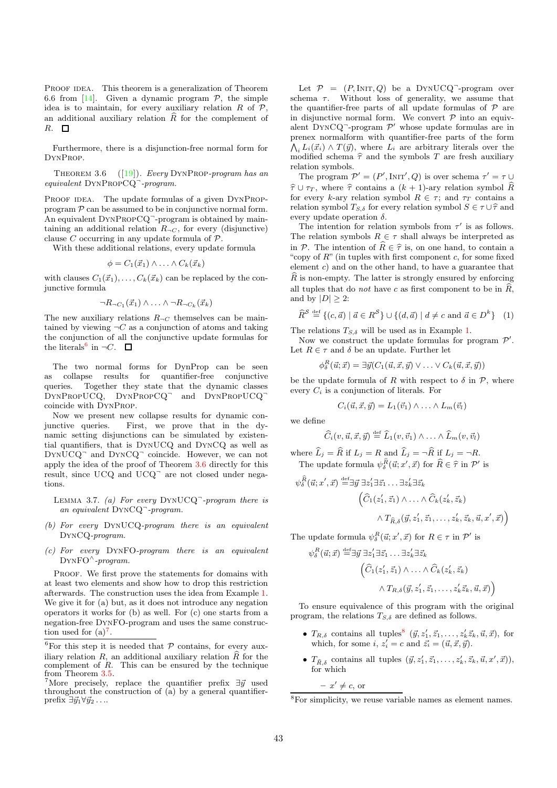PROOF IDEA. This theorem is a generalization of Theorem 6.6 from [14]. Given a dynamic program  $P$ , the simple idea is to maintain, for every auxiliary relation  $R$  of  $P$ , an additional auxiliary relation  $\widehat{R}$  for the complement of  $R. \square$ 

Furthermore, there is a disjunction-free normal form for DynProp.

THEOREM 3.6  $([19])$ . Every DYNPROP-program has an equivalent DYNPROPCQ<sup>-</sup>-program.

PROOF IDEA. The update formulas of a given DYNPROPprogram  $P$  can be assumed to be in conjunctive normal form. An equivalent DYNPROPCQ<sup>-</sup>-program is obtained by maintaining an additional relation  $R_{\neg C}$ , for every (disjunctive) clause C occurring in any update formula of  $P$ .

With these additional relations, every update formula

$$
\phi = C_1(\vec{x}_1) \wedge \ldots \wedge C_k(\vec{x}_k)
$$

with clauses  $C_1(\vec{x}_1), \ldots, C_k(\vec{x}_k)$  can be replaced by the conjunctive formula

$$
\neg R_{\neg C_1}(\vec{x}_1) \land \dots \land \neg R_{\neg C_k}(\vec{x}_k)
$$

The new auxiliary relations  $R_{\neg C}$  themselves can be maintained by viewing  $\neg C$  as a conjunction of atoms and taking the conjunction of all the conjunctive update formulas for the literals<sup>6</sup> in  $\neg C$ .

The two normal forms for DynProp can be seen as collapse results for quantifier-free conjunctive queries. Together they state that the dynamic classes DYNPROPUCQ, DYNPROPCQ<sup>-</sup> and DYNPROPUCQ<sup>-</sup> coincide with DynProp.

Now we present new collapse results for dynamic conjunctive queries. First, we prove that in the dynamic setting disjunctions can be simulated by existential quantifiers, that is DynUCQ and DynCQ as well as DynUCQ<sup>¬</sup> and DynCQ<sup>¬</sup> coincide. However, we can not apply the idea of the proof of Theorem 3.6 directly for this result, since UCQ and UCQ<sup>-</sup> are not closed under negations.

LEMMA 3.7. (a) For every DYNUCQ<sup>-</sup>-program there is an equivalent DynCQ<sup>¬</sup> -program.

- (b) For every DynUCQ-program there is an equivalent DynCQ-program.
- (c) For every DynFO-program there is an equivalent  $DYNFO^{\wedge}$ -program.

PROOF. We first prove the statements for domains with at least two elements and show how to drop this restriction afterwards. The construction uses the idea from Example 1. We give it for (a) but, as it does not introduce any negation operators it works for (b) as well. For (c) one starts from a negation-free DynFO-program and uses the same construction used for  $(a)^7$ .

Let  $P = (P, \text{INIT}, Q)$  be a DYNUCQ<sup>-</sup>-program over schema  $\tau$ . Without loss of generality, we assume that the quantifier-free parts of all update formulas of  $P$  are in disjunctive normal form. We convert  $P$  into an equivalent DYNCQ<sup>-</sup>-program  $\mathcal{P}'$  whose update formulas are in prenex normalform with quantifier-free parts of the form  $\hat{\Lambda}_i L_i(\vec{x}_i) \wedge T(\vec{y}),$  where  $\hat{L_i}$  are arbitrary literals over the modified schema  $\hat{\tau}$  and the symbols T are fresh auxiliary relation symbols.

The program  $\mathcal{P}' = (P', \text{INIT}', Q)$  is over schema  $\tau' = \tau \cup$  $\hat{\tau} \cup \tau_T$ , where  $\hat{\tau}$  contains a  $(k + 1)$ -ary relation symbol  $\hat{R}$ for every k-ary relation symbol  $R \in \tau$ ; and  $\tau_T$  contains a relation symbol  $T_{S,\delta}$  for every relation symbol  $S \in \tau \cup \hat{\tau}$  and every update operation  $\delta$ .

The intention for relation symbols from  $\tau'$  is as follows. The relation symbols  $R \in \tau$  shall always be interpreted as in P. The intention of  $\widehat{R} \in \widehat{\tau}$  is, on one hand, to contain a "copy of  $R$ " (in tuples with first component c, for some fixed element  $c$ ) and on the other hand, to have a guarantee that  $\hat{R}$  is non-empty. The latter is strongly ensured by enforcing all tuples that do *not* have c as first component to be in  $\widehat{R}$ , and by  $|D| \geq 2$ :

$$
\widehat{R}^{\mathcal{S}} \stackrel{\text{def}}{=} \{ (c, \vec{a}) \mid \vec{a} \in R^{\mathcal{S}} \} \cup \{ (d, \vec{a}) \mid d \neq c \text{ and } \vec{a} \in D^k \} \quad (1)
$$

The relations  $T_{S,\delta}$  will be used as in Example 1.

Now we construct the update formulas for program  $\mathcal{P}'$ . Let  $R \in \tau$  and  $\delta$  be an update. Further let

$$
\phi_{\delta}^{R}(\vec{u};\vec{x}) = \exists \vec{y} (C_1(\vec{u},\vec{x},\vec{y}) \lor \ldots \lor C_k(\vec{u},\vec{x},\vec{y}))
$$

be the update formula of R with respect to  $\delta$  in P, where every  $C_i$  is a conjunction of literals. For

$$
C_i(\vec{u}, \vec{x}, \vec{y}) = L_1(\vec{v}_1) \wedge \ldots \wedge L_m(\vec{v}_l)
$$

we define

$$
\widehat{C}_i(v, \vec{u}, \vec{x}, \vec{y}) \stackrel{\text{def}}{=} \widehat{L}_1(v, \vec{v}_1) \wedge \ldots \wedge \widehat{L}_m(v, \vec{v}_l)
$$

where  $\widehat{L}_j = \widehat{R}$  if  $L_j = R$  and  $\widehat{L}_j = \neg \widehat{R}$  if  $L_j = \neg R$ . The update formula  $\psi^{\widehat{R}}_{\delta}(\vec{u};x',\vec{x})$  for  $\widehat{R}\in\widehat{\tau}$  in  $\mathcal{P}'$  is

$$
\psi_{\delta}^{\hat{R}}(\vec{u};x',\vec{x}) \stackrel{\text{def}}{=} \exists \vec{y} \; \exists z'_1 \exists \vec{z}_1 \dots \exists z'_k \exists \vec{z}_k
$$

$$
\left( \widehat{C}_1(z'_1, \vec{z}_1) \land \dots \land \widehat{C}_k(z'_k, \vec{z}_k) \right)
$$

$$
\land T_{\widehat{R},\delta}(\vec{y}, z'_1, \vec{z}_1, \dots, z'_k, \vec{z}_k, \vec{u}, x', \vec{x})
$$

The update formula  $\psi_{\delta}^{R}(\vec{u};x',\vec{x})$  for  $R \in \tau$  in  $\mathcal{P}'$  is

$$
\psi_{\delta}^{R}(\vec{u};\vec{x}) \stackrel{\text{def}}{=} \exists \vec{y} \; \exists z_1' \exists \vec{z}_1 \dots \exists z_k' \exists \vec{z}_k
$$

$$
\left( \widehat{C}_1(z_1', \vec{z}_1) \land \dots \land \widehat{C}_k(z_k', \vec{z}_k) \right. \left. \land T_{R,\delta}(\vec{y}, z_1', \vec{z}_1, \dots, z_k' \vec{z}_k, \vec{u}, \vec{x}) \right)
$$

To ensure equivalence of this program with the original program, the relations  $T_{S,\delta}$  are defined as follows.

- $T_{R,\delta}$  contains all tuples<sup>8</sup>  $(\vec{y}, z'_1, \vec{z}_1, \ldots, z'_k \vec{z}_k, \vec{u}, \vec{x})$ , for which, for some  $i, z'_i = c$  and  $\vec{z}_i = (\vec{u}, \vec{x}, \vec{y})$ .
- $T_{\widehat{R}, \delta}$  contains all tuples  $(\vec{y}, z'_1, \vec{z}_1, \ldots, z'_k, \vec{z}_k, \vec{u}, x', \vec{x})),$ for which

 $- x \neq c$ , or

 $^6\rm{For}$  this step it is needed that  ${\mathcal P}$  contains, for every auxiliary relation R, an additional auxiliary relation  $\widehat{R}$  for the complement of  $R$ . This can be ensured by the technique from Theorem 3.5.

<sup>&</sup>lt;sup>7</sup>More precisely, replace the quantifier prefix  $\exists \vec{y}$  used throughout the construction of  $(\bar{a})$  by a general quantifierprefix  $\exists \vec{y}_1 \forall \vec{y}_2 \dots$ 

<sup>8</sup>For simplicity, we reuse variable names as element names.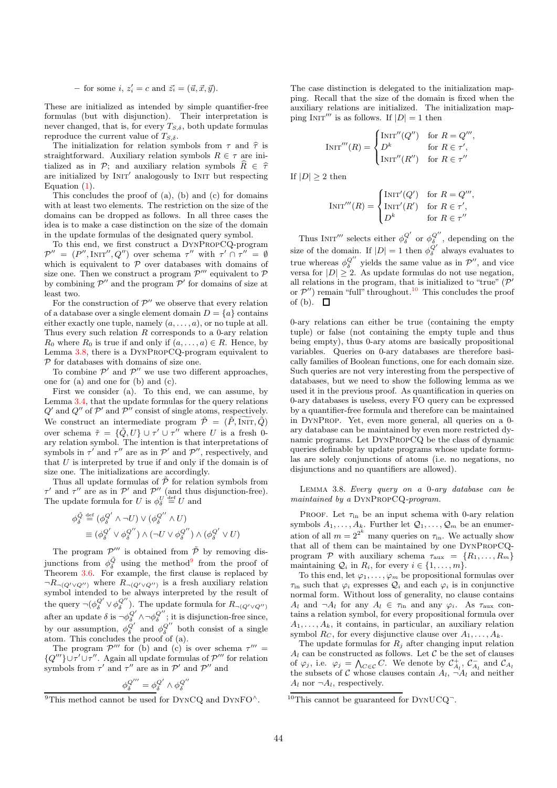- for some  $i, z'_i = c$  and  $\vec{z}_i = (\vec{u}, \vec{x}, \vec{y}).$ 

These are initialized as intended by simple quantifier-free formulas (but with disjunction). Their interpretation is never changed, that is, for every  $T_{S,\delta}$ , both update formulas reproduce the current value of  $T_{S,\delta}$ .

The initialization for relation symbols from  $\tau$  and  $\hat{\tau}$  is straightforward. Auxiliary relation symbols  $R \in \tau$  are initialized as in P; and auxiliary relation symbols  $\widehat{R} \in \widehat{\tau}$ are initialized by  $INT'$  analogously to INIT but respecting Equation  $(1)$ .

This concludes the proof of (a), (b) and (c) for domains with at least two elements. The restriction on the size of the domains can be dropped as follows. In all three cases the idea is to make a case distinction on the size of the domain in the update formulas of the designated query symbol.

To this end, we first construct a DynPropCQ-program  $\mathcal{P}'' = (P'', \text{INIT}'', Q'')$  over schema  $\tau''$  with  $\tau' \cap \tau'' = \emptyset$ which is equivalent to  $P$  over databases with domains of size one. Then we construct a program  $\mathcal{P}'''$  equivalent to  $\mathcal P$ by combining  $\mathcal{P}''$  and the program  $\mathcal{P}'$  for domains of size at least two.

For the construction of  $\mathcal{P}''$  we observe that every relation of a database over a single element domain  $D = \{a\}$  contains either exactly one tuple, namely  $(a, \ldots, a)$ , or no tuple at all. Thus every such relation  $R$  corresponds to a 0-ary relation  $R_0$  where  $R_0$  is true if and only if  $(a, \ldots, a) \in R$ . Hence, by Lemma 3.8, there is a DynPropCQ-program equivalent to  $\mathcal P$  for databases with domains of size one.

To combine  $\mathcal{P}'$  and  $\mathcal{P}''$  we use two different approaches, one for (a) and one for (b) and (c).

First we consider (a). To this end, we can assume, by Lemma 3.4, that the update formulas for the query relations  $Q'$  and  $Q''$  of  $P'$  and  $P''$  consist of single atoms, respectively. We construct an intermediate program  $\tilde{\mathcal{P}} = (\tilde{P}, \tilde{\text{INT}}, \tilde{Q})$ over schema  $\tilde{\tau} = {\{\tilde{Q}, U\}} \cup {\tau'} \cup {\tau''}$  where U is a fresh 0ary relation symbol. The intention is that interpretations of symbols in  $\tau'$  and  $\tau''$  are as in  $\mathcal{P}'$  and  $\mathcal{P}''$ , respectively, and that  $U$  is interpreted by true if and only if the domain is of size one. The initializations are accordingly.

Thus all update formulas of  $\tilde{\mathcal{P}}$  for relation symbols from  $\tau'$  and  $\tau''$  are as in  $\mathcal{P}'$  and  $\mathcal{P}''$  (and thus disjunction-free). The update formula for U is  $\phi_{\delta}^U \stackrel{\text{def}}{=} U$  and

$$
\begin{aligned} \phi_{\delta}^{\tilde{Q}} &\stackrel{\text{def}}{=} (\phi_{\delta}^{Q'} \wedge \neg U) \vee (\phi_{\delta}^{Q''} \wedge U) \\ &\equiv (\phi_{\delta}^{Q'} \vee \phi_{\delta}^{Q''}) \wedge (\neg U \vee \phi_{\delta}^{Q''}) \wedge (\phi_{\delta}^{Q'} \vee U) \end{aligned}
$$

The program  $\mathcal{P}'''$  is obtained from  $\tilde{\mathcal{P}}$  by removing disjunctions from  $\phi_{\delta}^{\tilde{Q}}$  using the method<sup>9</sup> from the proof of Theorem 3.6. For example, the first clause is replaced by  $\neg R_{\neg (Q' \vee Q'')}$  where  $R_{\neg (Q' \vee Q'')}$  is a fresh auxiliary relation symbol intended to be always interpreted by the result of the query  $\neg(\phi_{\delta}^{Q'} \vee \phi_{\delta}^{Q''})$ . The update formula for  $R_{\neg(Q' \vee Q'')}$ after an update  $\delta$  is  $\neg \phi_{\delta}^{Q'} \wedge \neg \phi_{\delta}^{Q''}$ ; it is disjunction-free since, by our assumption,  $\phi_{\delta}^{Q'}$  and  $\phi_{\delta}^{Q''}$  both consist of a single atom. This concludes the proof of (a).

The program  $\mathcal{P}'''$  for (b) and (c) is over schema  $\tau''' =$  $\{Q'''\}\cup \tau''$ . Again all update formulas of  $\mathcal{P}'''$  for relation symbols from  $\tau'$  and  $\tau''$  are as in  $\mathcal{P}'$  and  $\mathcal{P}''$  and

$$
\phi^{Q^{\prime\prime\prime}}_{\delta}=\phi^{Q'}_{\delta}\wedge\phi^{Q^{\prime\prime}}_{\delta}
$$

The case distinction is delegated to the initialization mapping. Recall that the size of the domain is fixed when the auxiliary relations are initialized. The initialization mapping INIT''' is as follows. If  $|D| = 1$  then

$$
\text{INIT}'''(R) = \begin{cases} \text{INIT}''(Q'') & \text{for } R = Q''',\\ D^k & \text{for } R \in \tau',\\ \text{INIT}''(R'') & \text{for } R \in \tau'' \end{cases}
$$

If  $|D| \geq 2$  then

$$
\text{INIT}'''(R) = \begin{cases} \text{INIT}'(Q') & \text{for } R = Q''',\\ \text{INIT}'(R') & \text{for } R \in \tau',\\ D^k & \text{for } R \in \tau'' \end{cases}
$$

Thus INIT''' selects either  $\phi_{\delta}^{Q'}$  or  $\phi_{\delta}^{Q''}$ , depending on the size of the domain. If  $|D| = 1$  then  $\phi_{\delta}^{Q'}$  always evaluates to true whereas  $\phi_{\delta}^{Q''}$  yields the same value as in  $\mathcal{P}''$ , and vice versa for  $|D| \geq 2$ . As update formulas do not use negation, all relations in the program, that is initialized to "true"  $(\mathcal{P}')$ or  $\mathcal{P}''$ ) remain "full" throughout.<sup>10</sup> This concludes the proof of (b).  $\Box$ 

0-ary relations can either be true (containing the empty tuple) or false (not containing the empty tuple and thus being empty), thus 0-ary atoms are basically propositional variables. Queries on 0-ary databases are therefore basically families of Boolean functions, one for each domain size. Such queries are not very interesting from the perspective of databases, but we need to show the following lemma as we used it in the previous proof. As quantification in queries on 0-ary databases is useless, every FO query can be expressed by a quantifier-free formula and therefore can be maintained in DynProp. Yet, even more general, all queries on a 0 ary database can be maintained by even more restricted dynamic programs. Let DynPropCQ be the class of dynamic queries definable by update programs whose update formulas are solely conjunctions of atoms (i.e. no negations, no disjunctions and no quantifiers are allowed).

Lemma 3.8. Every query on a 0-ary database can be maintained by a DYNPROPCQ-program.

PROOF. Let  $\tau_{\text{in}}$  be an input schema with 0-ary relation symbols  $A_1, \ldots, A_k$ . Further let  $\mathcal{Q}_1, \ldots, \mathcal{Q}_m$  be an enumeration of all  $m = 2^{2^k}$  many queries on  $\tau_{\text{in}}$ . We actually show that all of them can be maintained by one DynPropCQprogram P with auxiliary schema  $\tau_{\text{aux}} = \{R_1, \ldots, R_m\}$ maintaining  $Q_i$  in  $R_i$ , for every  $i \in \{1, \ldots, m\}$ .

To this end, let  $\varphi_1, \ldots, \varphi_m$  be propositional formulas over  $\tau_{\text{in}}$  such that  $\varphi_i$  expresses  $\mathcal{Q}_i$  and each  $\varphi_i$  is in conjunctive normal form. Without loss of generality, no clause contains  $A_l$  and  $\neg A_l$  for any  $A_l \in \tau_{\text{in}}$  and any  $\varphi_i$ . As  $\tau_{\text{aux}}$  contains a relation symbol, for every propositional formula over  $A_1, \ldots, A_k$ , it contains, in particular, an auxiliary relation symbol  $R_C$ , for every disjunctive clause over  $A_1, \ldots, A_k$ .

The update formulas for  $R_i$  after changing input relation  $A_l$  can be constructed as follows. Let C be the set of clauses of  $\varphi_j$ , i.e.  $\varphi_j = \bigwedge_{C \in \mathcal{C}} C$ . We denote by  $\mathcal{C}_{A_l}^+$ ,  $\mathcal{C}_{A_l}^-$  and  $\mathcal{C}_{A_l}$ the subsets of C whose clauses contain  $A_l$ ,  $\neg A_l$  and neither  $A_l$  nor  $\neg A_l$ , respectively.

 $^{9}$ This method cannot be used for DYNCQ and DYNFO<sup> $\wedge$ </sup>.

<sup>&</sup>lt;sup>10</sup>This cannot be guaranteed for  $DYNUCQ^-$ .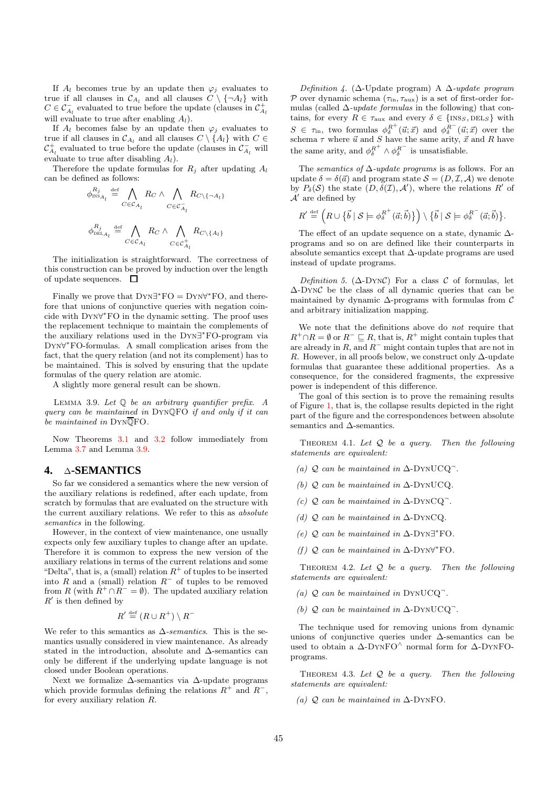If  $A_l$  becomes true by an update then  $\varphi_j$  evaluates to true if all clauses in  $\mathcal{C}_{A_l}$  and all clauses  $C \setminus {\{\neg A_l\}}$  with  $C \in \mathcal{C}_{A_l}^-$  evaluated to true before the update (clauses in  $\mathcal{C}_{A_l}^+$ will evaluate to true after enabling  $A_l$ ).

If  $A_l$  becomes false by an update then  $\varphi_i$  evaluates to true if all clauses in  $\mathcal{C}_{A_l}$  and all clauses  $C \setminus \{A_l\}$  with  $C \in$  $\mathcal{C}_{A_l}^+$  evaluated to true before the update (clauses in  $\mathcal{C}_{A_l}^-$  will evaluate to true after disabling  $A_l$ ).

Therefore the update formulas for  $R_j$  after updating  $A_l$ can be defined as follows:

$$
\begin{aligned} \phi_{\text{\tiny{INS}}_{A_l}}^{R_j} &\stackrel{\text{def}}{=} \bigwedge_{C \in \mathcal{C}_{A_l}} R_C \wedge \bigwedge_{C \in \mathcal{C}_{A_l}^-} R_{C \backslash \{\neg A_l\}} \\ \phi_{\text{\tiny{DEL}}_{A_l}}^{R_j} &\stackrel{\text{def}}{=} \bigwedge_{C \in \mathcal{C}_{A_l}} R_C \wedge \bigwedge_{C \in \mathcal{C}_{A_l}^+} R_{C \backslash \{A_l\}} \end{aligned}
$$

The initialization is straightforward. The correctness of this construction can be proved by induction over the length of update sequences.  $\Box$ 

Finally we prove that  $DYN\exists^*FO = DYN\forall^*FO$ , and therefore that unions of conjunctive queries with negation coincide with Dyn∀ <sup>∗</sup>FO in the dynamic setting. The proof uses the replacement technique to maintain the complements of the auxiliary relations used in the Dyn∃ <sup>∗</sup>FO-program via Dyn∀ <sup>∗</sup>FO-formulas. A small complication arises from the fact, that the query relation (and not its complement) has to be maintained. This is solved by ensuring that the update formulas of the query relation are atomic.

A slightly more general result can be shown.

LEMMA 3.9. Let  $\mathbb O$  be an arbitrary quantifier prefix. A query can be maintained in DynQFO if and only if it can be maintained in DYNQFO.

Now Theorems 3.1 and 3.2 follow immediately from Lemma 3.7 and Lemma 3.9.

#### **4.** ∆**-SEMANTICS**

So far we considered a semantics where the new version of the auxiliary relations is redefined, after each update, from scratch by formulas that are evaluated on the structure with the current auxiliary relations. We refer to this as absolute semantics in the following.

However, in the context of view maintenance, one usually expects only few auxiliary tuples to change after an update. Therefore it is common to express the new version of the auxiliary relations in terms of the current relations and some "Delta", that is, a (small) relation  $R^+$  of tuples to be inserted into R and a (small) relation  $R^-$  of tuples to be removed from R (with  $R^+ \cap R^- = \emptyset$ ). The updated auxiliary relation  $R'$  is then defined by .<br>√ def

$$
R' \stackrel{\text{def}}{=} (R \cup R^+) \setminus R^-
$$

We refer to this semantics as  $\Delta$ -semantics. This is the semantics usually considered in view maintenance. As already stated in the introduction, absolute and ∆-semantics can only be different if the underlying update language is not closed under Boolean operations.

Next we formalize ∆-semantics via ∆-update programs which provide formulas defining the relations  $R^+$  and  $R^-$ , for every auxiliary relation R.

Definition 4. ( $\Delta$ -Update program) A  $\Delta$ -update program P over dynamic schema  $(\tau_{\text{in}}, \tau_{\text{aux}})$  is a set of first-order formulas (called  $\Delta$ -update formulas in the following) that contains, for every  $R \in \tau_{\text{aux}}$  and every  $\delta \in \{\text{INS}_S, \text{DEL}_S\}$  with  $S \in \tau_{\text{in}}$ , two formulas  $\phi_{\delta}^{R^+}(\vec{u}; \vec{x})$  and  $\phi_{\delta}^{R^-}(\vec{u}; \vec{x})$  over the schema  $\tau$  where  $\vec{u}$  and  $S$  have the same arity,  $\vec{x}$  and  $R$  have the same arity, and  $\phi_{\delta}^{R^+} \wedge \phi_{\delta}^{R^-}$  is unsatisfiable.

The *semantics of*  $\Delta$ -update programs is as follows. For an update  $\delta = \delta(\vec{a})$  and program state  $\mathcal{S} = (D, \mathcal{I}, \mathcal{A})$  we denote by  $P_{\delta}(S)$  the state  $(D, \delta(\mathcal{I}), \mathcal{A}')$ , where the relations  $R'$  of  $\mathcal{A}'$  are defined by

$$
R' \stackrel{\text{\tiny def}}{=} \left( R \cup \left\{ \vec{b} \mid \mathcal{S} \models \phi_{\delta}^{R^+}(\vec{a}; \vec{b}) \right\} \right) \setminus \left\{ \vec{b} \mid \mathcal{S} \models \phi_{\delta}^{R^-}(\vec{a}; \vec{b}) \right\}.
$$

The effect of an update sequence on a state, dynamic ∆ programs and so on are defined like their counterparts in absolute semantics except that ∆-update programs are used instead of update programs.

Definition 5. ( $\Delta$ -DYNC) For a class C of formulas, let ∆-DynC be the class of all dynamic queries that can be maintained by dynamic  $\Delta\text{-programs}$  with formulas from  $\mathcal C$ and arbitrary initialization mapping.

We note that the definitions above do not require that  $R^+\cap R=\emptyset$  or  $R^-\sqsubseteq R$ , that is,  $R^+$  might contain tuples that are already in  $R$ , and  $R^-$  might contain tuples that are not in R. However, in all proofs below, we construct only  $\Delta$ -update formulas that guarantee these additional properties. As a consequence, for the considered fragments, the expressive power is independent of this difference.

The goal of this section is to prove the remaining results of Figure 1, that is, the collapse results depicted in the right part of the figure and the correspondences between absolute semantics and ∆-semantics.

THEOREM 4.1. Let  $Q$  be a query. Then the following statements are equivalent:

- (a)  $Q$  can be maintained in  $\Delta$ -DYNUCQ $\bar{Q}$ .
- (b)  $Q$  can be maintained in  $\Delta$ -DYNUCQ.
- (c)  $Q$  can be maintained in  $\Delta$ -DYNCQ<sup>-</sup>.
- (d)  $Q$  can be maintained in  $\Delta$ -DYNCQ.
- (e)  $Q$  can be maintained in  $\Delta$ -DYN∃\*FO.
- (f)  $Q$  can be maintained in  $\Delta$ -DYN∀\*FO.

THEOREM 4.2. Let  $Q$  be a query. Then the following statements are equivalent:

- (a)  $Q$  can be maintained in DYNUCQ<sup>-</sup>.
- (b)  $Q$  can be maintained in  $\Delta$ -DYNUCQ<sup>-</sup>.

The technique used for removing unions from dynamic unions of conjunctive queries under  $\Delta$ -semantics can be used to obtain a  $\Delta$ -DYNFO<sup> $\land$ </sup> normal form for  $\Delta$ -DYNFOprograms.

THEOREM 4.3. Let  $Q$  be a query. Then the following statements are equivalent:

(a)  $Q$  can be maintained in  $\Delta$ -DYNFO.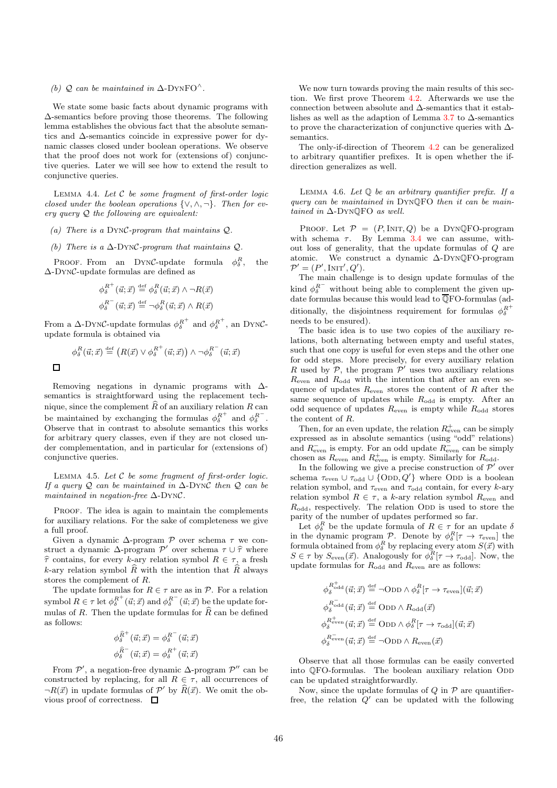#### (b)  $Q$  can be maintained in  $\Delta$ -DYNFO<sup> $\wedge$ </sup>.

We state some basic facts about dynamic programs with ∆-semantics before proving those theorems. The following lemma establishes the obvious fact that the absolute semantics and ∆-semantics coincide in expressive power for dynamic classes closed under boolean operations. We observe that the proof does not work for (extensions of) conjunctive queries. Later we will see how to extend the result to conjunctive queries.

LEMMA 4.4. Let  $C$  be some fragment of first-order logic closed under the boolean operations  $\{\vee, \wedge, \neg\}$ . Then for every query Q the following are equivalent:

- (a) There is a DynC-program that maintains Q.
- (b) There is a  $\Delta$ -DYNC-program that maintains  $Q$ .

PROOF. From an DYNC-update formula  $\phi_{\delta}^R$ , the ∆-DynC-update formulas are defined as

$$
\begin{aligned}\n\phi_{\delta}^{R^+}(\vec{u};\vec{x}) &\stackrel{\text{def}}{=} \phi_{\delta}^{R}(\vec{u};\vec{x}) \wedge \neg R(\vec{x}) \\
\phi_{\delta}^{R^-}(\vec{u};\vec{x}) &\stackrel{\text{def}}{=} \neg \phi_{\delta}^{R}(\vec{u};\vec{x}) \wedge R(\vec{x})\n\end{aligned}
$$

From a  $\Delta$ -DynC-update formulas  $\phi_{\delta}^{R^+}$  and  $\phi_{\delta}^{R^+}$ , an DynCupdate formula is obtained via

$$
\phi_{\delta}^{R}(\vec{u};\vec{x}) \stackrel{\text{def}}{=} (R(\vec{x}) \vee \phi_{\delta}^{R^{+}}(\vec{u};\vec{x})) \wedge \neg \phi_{\delta}^{R^{-}}(\vec{u};\vec{x})
$$

Removing negations in dynamic programs with ∆ semantics is straightforward using the replacement technique, since the complement  $\widehat{R}$  of an auxiliary relation R can be maintained by exchanging the formulas  $\phi_{\delta}^{R^+}$  and  $\phi_{\delta}^{R^-}$ . Observe that in contrast to absolute semantics this works for arbitrary query classes, even if they are not closed under complementation, and in particular for (extensions of) conjunctive queries.

LEMMA 4.5. Let  $C$  be some fragment of first-order logic. If a query Q can be maintained in  $\Delta$ -DynC then Q can be maintained in negation-free ∆-DynC.

PROOF. The idea is again to maintain the complements for auxiliary relations. For the sake of completeness we give a full proof.

Given a dynamic  $\Delta$ -program  $\mathcal P$  over schema  $\tau$  we construct a dynamic  $\Delta$ -program  $\mathcal{P}'$  over schema  $\tau \cup \hat{\tau}$  where  $\hat{\tau}$  contains, for every k-ary relation symbol  $R \in \tau$ , a fresh k-ary relation symbol  $\widehat{R}$  with the intention that  $\widehat{R}$  always stores the complement of R.

The update formulas for  $R \in \tau$  are as in  $\mathcal{P}$ . For a relation symbol  $R \in \tau$  let  $\phi_{\delta}^{R^+}(\vec{u}; \vec{x})$  and  $\phi_{\delta}^{R^-}(\vec{u}; \vec{x})$  be the update formulas of R. Then the update formulas for  $\widehat{R}$  can be defined as follows:

$$
\begin{aligned} \phi_{\delta}^{\widehat{R}^+}(\vec{u};\vec{x}) &= \phi_{\delta}^{R^-}(\vec{u};\vec{x}) \\ \phi_{\delta}^{\widehat{R}^-}(\vec{u};\vec{x}) &= \phi_{\delta}^{R^+}(\vec{u};\vec{x}) \end{aligned}
$$

From  $\mathcal{P}'$ , a negation-free dynamic  $\Delta$ -program  $\mathcal{P}''$  can be constructed by replacing, for all  $R \in \tau$ , all occurrences of  $\neg R(\vec{x})$  in update formulas of  $\mathcal{P}'$  by  $\widehat{R}(\vec{x})$ . We omit the obvious proof of correctness.  $\Box$ 

We now turn towards proving the main results of this section. We first prove Theorem 4.2. Afterwards we use the connection between absolute and ∆-semantics that it establishes as well as the adaption of Lemma 3.7 to ∆-semantics to prove the characterization of conjunctive queries with ∆ semantics.

The only-if-direction of Theorem 4.2 can be generalized to arbitrary quantifier prefixes. It is open whether the ifdirection generalizes as well.

LEMMA 4.6. Let  $\mathbb O$  be an arbitrary quantifier prefix. If a query can be maintained in DynQFO then it can be maintained in ∆-DynQFO as well.

PROOF. Let  $P = (P, \text{INIT}, Q)$  be a DYNQFO-program with schema  $\tau$ . By Lemma 3.4 we can assume, without loss of generality, that the update formulas of Q are atomic. We construct a dynamic ∆-DynQFO-program  $\mathcal{P}' = (P', \text{INIT}', Q').$ 

The main challenge is to design update formulas of the kind  $\phi_{\delta}^{R^{-}}$  without being able to complement the given update formulas because this would lead to  $\overline{\mathbb{Q}}$ FO-formulas (additionally, the disjointness requirement for formulas  $\phi_{\delta}^{R^+}$ needs to be ensured).

The basic idea is to use two copies of the auxiliary relations, both alternating between empty and useful states, such that one copy is useful for even steps and the other one for odd steps. More precisely, for every auxiliary relation R used by  $P$ , the program  $P'$  uses two auxiliary relations  $R_{\text{even}}$  and  $R_{\text{odd}}$  with the intention that after an even sequence of updates  $R_{\text{even}}$  stores the content of R after the same sequence of updates while  $R_{\text{odd}}$  is empty. After an odd sequence of updates  $R_{\text{even}}$  is empty while  $R_{\text{odd}}$  stores the content of R.

Then, for an even update, the relation  $R_{\text{even}}^+$  can be simply expressed as in absolute semantics (using "odd" relations) and  $R_{\text{even}}^-$  is empty. For an odd update  $R_{\text{even}}^-$  can be simply chosen as  $R_{\text{even}}$  and  $R_{\text{even}}^+$  is empty. Similarly for  $R_{\text{odd}}$ .

In the following we give a precise construction of  $\mathcal{P}'$  over schema  $\tau_{\text{even}} \cup \tau_{\text{odd}} \cup \{\text{ODD}, Q'\}$  where ODD is a boolean relation symbol, and  $\tau_{\text{even}}$  and  $\tau_{\text{odd}}$  contain, for every k-ary relation symbol  $R \in \tau$ , a k-ary relation symbol  $R_{\text{even}}$  and  $R_{\text{odd}}$ , respectively. The relation ODD is used to store the parity of the number of updates performed so far.

Let  $\phi_{\delta}^{R}$  be the update formula of  $R \in \tau$  for an update  $\delta$ in the dynamic program P. Denote by  $\phi_{\delta}^{R}[\tau \to \tau_{\text{even}}]$  the formula obtained from  $\phi_{\delta}^R$  by replacing every atom  $S(\vec{x})$  with  $S \in \tau$  by  $S_{\text{even}}(\vec{x})$ . Analogously for  $\phi_{\delta}^R[\tau \to \tau_{\text{odd}}]$ . Now, the update formulas for  $R_{\text{odd}}$  and  $R_{\text{even}}$  are as follows:

$$
\phi_{\delta}^{R_{\text{odd}}^{+}}(\vec{u};\vec{x}) \stackrel{\text{def}}{=} \neg \text{ODD} \land \phi_{\delta}^{R}[\tau \to \tau_{\text{even}}](\vec{u};\vec{x})
$$
\n
$$
\phi_{\delta}^{R_{\text{odd}}^{-}}(\vec{u};\vec{x}) \stackrel{\text{def}}{=} \text{ODD} \land R_{\text{odd}}(\vec{x})
$$
\n
$$
\phi_{\delta}^{R_{\text{even}}^{+}}(\vec{u};\vec{x}) \stackrel{\text{def}}{=} \text{ODD} \land \phi_{\delta}^{R}[\tau \to \tau_{\text{odd}}](\vec{u};\vec{x})
$$
\n
$$
\phi_{\delta}^{R_{\text{even}}^{-}}(\vec{u};\vec{x}) \stackrel{\text{def}}{=} \neg \text{ODD} \land R_{\text{even}}(\vec{x})
$$

Observe that all those formulas can be easily converted into QFO-formulas. The boolean auxiliary relation ODD can be updated straightforwardly.

Now, since the update formulas of  $Q$  in  $P$  are quantifierfree, the relation  $Q'$  can be updated with the following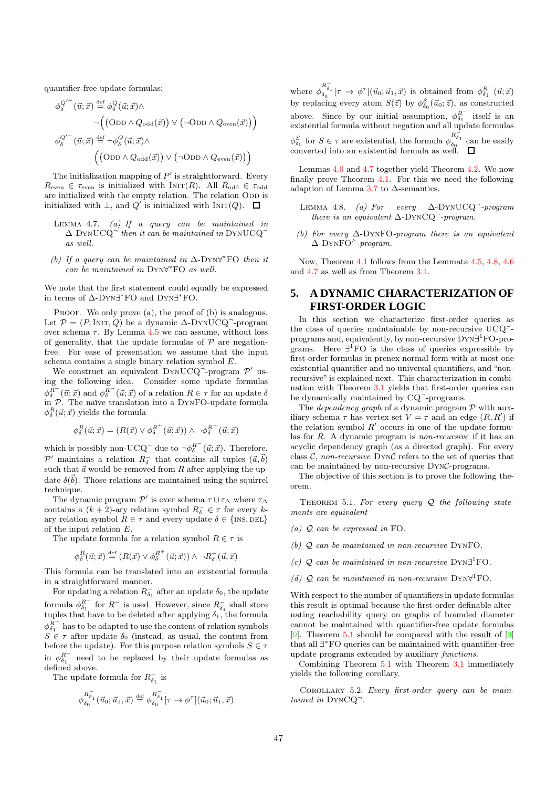quantifier-free update formulas:

$$
\begin{split} \phi_{\delta}^{Q'^+}(\vec{u};\vec{x}) & \stackrel{\text{def}}{=} \phi_{\delta}^Q(\vec{u};\vec{x}) \wedge \\ \neg \Big( \big( \text{OD} \wedge Q_{\text{odd}}(\vec{x}) \big) \vee \big( \neg \text{OD} \wedge Q_{\text{even}}(\vec{x}) \big) \Big) \\ \phi_{\delta}^{Q'^-}(\vec{u};\vec{x}) & \stackrel{\text{def}}{=} \neg \phi_{\delta}^Q(\vec{u};\vec{x}) \wedge \\ & \Big( \big( \text{OD} \wedge Q_{\text{odd}}(\vec{x}) \big) \vee \big( \neg \text{OD} \wedge Q_{\text{even}}(\vec{x}) \big) \Big) \end{split}
$$

The initialization mapping of  $P'$  is straightforward. Every  $R_{\text{even}} \in \tau_{\text{even}}$  is initialized with INIT(R). All  $R_{\text{odd}} \in \tau_{\text{odd}}$ are initialized with the empty relation. The relation ODD is initialized with  $\perp$ , and  $Q'$  is initialized with  $\text{INT}(Q)$ .

- LEMMA 4.7. (a) If a query can be maintained in  $\Delta$ -DYNUCQ $\bar{ }$  then it can be maintained in DYNUCQ $\bar{ }$ as well.
- (b) If a query can be maintained in  $\Delta$ -DYN∀\*FO then it can be maintained in Dyn∀ <sup>∗</sup>FO as well.

We note that the first statement could equally be expressed in terms of ∆-Dyn∃ <sup>∗</sup>FO and Dyn∃ <sup>∗</sup>FO.

PROOF. We only prove (a), the proof of (b) is analogous. Let  $\mathcal{P} = (P, \text{INIT}, Q)$  be a dynamic  $\Delta$ -DynUCQ<sup>-</sup>-program over schema  $\tau$ . By Lemma 4.5 we can assume, without loss of generality, that the update formulas of  $P$  are negationfree. For ease of presentation we assume that the input schema contains a single binary relation symbol E.

We construct an equivalent DYNUCQ<sup>-</sup>-program  $\mathcal{P}'$  using the following idea. Consider some update formulas  $\phi_{\delta}^{R^+}(\vec{u};\vec{x})$  and  $\phi_{\delta}^{R^-}(\vec{u};\vec{x})$  of a relation  $R \in \tau$  for an update  $\delta$ in  $P$ . The naïve translation into a DYNFO-update formula  $\phi_{\delta}^{R}(\vec{u}; \vec{x})$  yields the formula

$$
\phi^R_{\delta}(\vec{u};\vec{x}) = (R(\vec{x}) \vee \phi^{R^+}_{\delta}(\vec{u};\vec{x})) \wedge \neg \phi^{R^-}_{\delta}(\vec{u};\vec{x})
$$

which is possibly non-UCQ<sup>-</sup> due to  $\neg \phi_{\delta}^{R^-}(\vec{u}; \vec{x})$ . Therefore,  $\mathcal{P}'$  maintains a relation  $R_{\delta}^-$  that contains all tuples  $(\vec{a}, \vec{b})$ such that  $\vec{a}$  would be removed from R after applying the update  $\delta(\vec{b})$ . Those relations are maintained using the squirrel technique.

The dynamic program  $\mathcal{P}'$  is over schema  $\tau \cup \tau_{\Delta}$  where  $\tau_{\Delta}$ contains a  $(k+2)$ -ary relation symbol  $R_{\delta}^- \in \tau$  for every kary relation symbol  $R \in \tau$  and every update  $\delta \in \{\text{INS}, \text{DEL}\}\$ of the input relation E.

The update formula for a relation symbol  $R \in \tau$  is

$$
\phi^R_\delta(\vec u;\vec x) \stackrel{\text{def}}{=} (R(\vec x) \vee \phi^{R^+}_\delta(\vec u;\vec x)) \wedge \neg R^-_\delta(\vec u,\vec x)
$$

This formula can be translated into an existential formula in a straightforward manner.

For updating a relation  $R_{\delta_1}^-$  after an update  $\delta_0$ , the update formula  $\phi_{\delta_1}^{R^-}$  for  $R^-$  is used. However, since  $R^-_{\delta_1}$  shall store tuples that have to be deleted after applying  $\delta_1$ , the formula  $\phi_{\delta_1}^{\overrightarrow{R}}$  has to be adapted to use the content of relation symbols  $S \in \tau$  after update  $\delta_0$  (instead, as usual, the content from before the update). For this purpose relation symbols  $S \in \tau$ in  $\phi_{\delta_1}^{R^-}$  need to be replaced by their update formulas as defined above.

The update formula for  $R_{\delta_1}^-$  is

$$
\phi_{\delta_0}^{R_{\delta_1}^-}(\vec u_0;\vec u_1,\vec x)\stackrel{\text{def}}{=} \phi_{\delta_0}^{R_{\delta_1}^-}[\tau\to\phi^\tau](\vec u_0;\vec u_1,\vec x)
$$

where  $\phi_{\delta_0}^{R_{\delta_1}^-}[\tau \to \phi^\tau](\vec{u}_0; \vec{u}_1, \vec{x})$  is obtained from  $\phi_{\delta_1}^{R^-}(\vec{u}; \vec{x})$ by replacing every atom  $S(\vec{z})$  by  $\phi_{\delta_0}^S(\vec{u}_0; \vec{z})$ , as constructed above. Since by our initial assumption,  $\phi_{\delta_1}^{R^-}$  itself is an existential formula without negation and all update formulas  $\phi_{\delta_0}^S$  for  $S \in \tau$  are existential, the formula  $\phi_{\delta_0}^{R_{\delta_1}^{-\tilde{S}_1}}$  can be easily converted into an existential formula as well.

Lemmas 4.6 and 4.7 together yield Theorem 4.2. We now finally prove Theorem 4.1. For this we need the following adaption of Lemma 3.7 to  $\Delta$ -semantics.

- LEMMA 4.8. (a) For  $every \Delta-DYNUCQ$ -program there is an equivalent  $\Delta$ -DYNCQ<sup>-</sup>-program.
- (b) For every  $\Delta$ -DYNFO-program there is an equivalent ∆-DynFO<sup>∧</sup> -program.

Now, Theorem 4.1 follows from the Lemmata 4.5, 4.8, 4.6 and 4.7 as well as from Theorem 3.1.

# **5. A DYNAMIC CHARACTERIZATION OF FIRST-ORDER LOGIC**

In this section we characterize first-order queries as the class of queries maintainable by non-recursive UCQ<sup>-</sup>programs and, equivalently, by non-recursive DYN∃<sup>1</sup>FO-programs. Here  $\exists^1$  FO is the class of queries expressible by first-order formulas in prenex normal form with at most one existential quantifier and no universal quantifiers, and "nonrecursive" is explained next. This characterization in combination with Theorem 3.1 yields that first-order queries can be dynamically maintained by CQ<sup>-</sup>-programs.

The *dependency graph* of a dynamic program  $P$  with auxiliary schema  $\tau$  has vertex set  $V = \tau$  and an edge  $(R, R')$  if the relation symbol  $R'$  occurs in one of the update formulas for R. A dynamic program is non-recursive if it has an acyclic dependency graph (as a directed graph). For every class  $C$ , non-recursive DYNC refers to the set of queries that can be maintained by non-recursive DynC-programs.

The objective of this section is to prove the following theorem.

THEOREM 5.1. For every query  $Q$  the following statements are equivalent

- (a)  $Q$  can be expressed in FO.
- (b) Q can be maintained in non-recursive DynFO.
- (c)  $Q$  can be maintained in non-recursive DYN<sup> $\exists$ </sup>FO.
- (d)  $Q$  can be maintained in non-recursive DYN $\forall$ <sup>1</sup>FO.

With respect to the number of quantifiers in update formulas this result is optimal because the first-order definable alternating reachability query on graphs of bounded diameter cannot be maintained with quantifier-free update formulas [9]. Theorem 5.1 should be compared with the result of  $[9]$ that all ∃ <sup>∗</sup>FO queries can be maintained with quantifier-free update programs extended by auxiliary functions.

Combining Theorem 5.1 with Theorem 3.1 immediately yields the following corollary.

Corollary 5.2. Every first-order query can be maintained in DYNCQ<sup>-</sup>.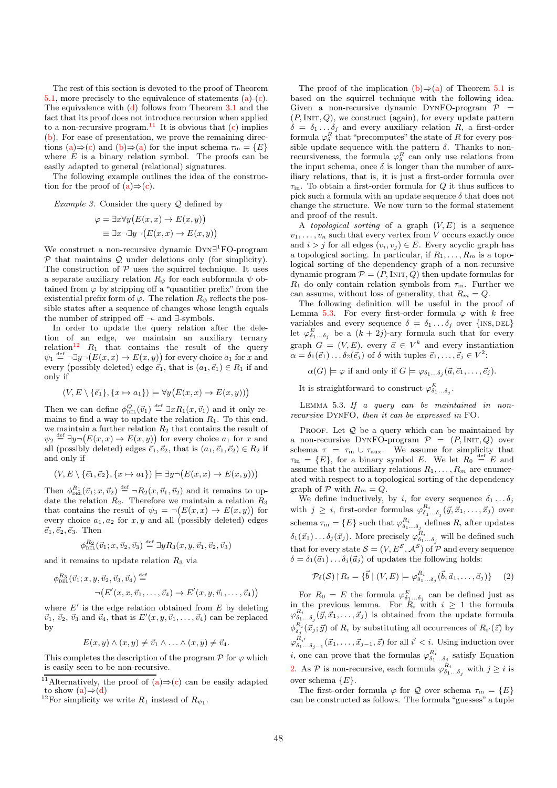The rest of this section is devoted to the proof of Theorem 5.1, more precisely to the equivalence of statements (a)-(c). The equivalence with  $(d)$  follows from Theorem 3.1 and the fact that its proof does not introduce recursion when applied to a non-recursive program.<sup>11</sup> It is obvious that  $(c)$  implies (b). For ease of presentation, we prove the remaining directions (a)⇒(c) and (b)⇒(a) for the input schema  $\tau_{\text{in}} = \{E\}$ where  $E$  is a binary relation symbol. The proofs can be easily adapted to general (relational) signatures.

The following example outlines the idea of the construction for the proof of  $(a) \Rightarrow (c)$ .

*Example 3.* Consider the query  $Q$  defined by

$$
\varphi = \exists x \forall y (E(x, x) \to E(x, y))
$$
  

$$
\equiv \exists x \neg \exists y \neg (E(x, x) \to E(x, y))
$$

We construct a non-recursive dynamic Dyn∃ <sup>1</sup>FO-program  $P$  that maintains  $Q$  under deletions only (for simplicity). The construction of  $P$  uses the squirrel technique. It uses a separate auxiliary relation  $R_{\psi}$  for each subformula  $\psi$  obtained from  $\varphi$  by stripping off a "quantifier prefix" from the existential prefix form of  $\varphi$ . The relation  $R_{\psi}$  reflects the possible states after a sequence of changes whose length equals the number of stripped off ¬- and ∃-symbols.

In order to update the query relation after the deletion of an edge, we maintain an auxiliary ternary relation<sup>12</sup>  $R_1$  that contains the result of the query  $\psi_1 \stackrel{\text{def}}{=} \neg \exists y \neg (E(x, x) \rightarrow E(x, y))$  for every choice  $a_1$  for x and every (possibly deleted) edge  $\vec{e}_1$ , that is  $(a_1, \vec{e}_1) \in R_1$  if and only if

$$
(V, E \setminus \{\vec{e}_1\}, \{x \mapsto a_1\}) \models \forall y (E(x, x) \to E(x, y)))
$$

Then we can define  $\phi_{\text{DEL}}^Q(\vec{v}_1) \stackrel{\text{def}}{=} \exists x R_1(x, \vec{v}_1)$  and it only remains to find a way to update the relation  $R_1$ . To this end, we maintain a further relation  $R_2$  that contains the result of  $\psi_2 \stackrel{\text{def}}{=} \exists y \neg (E(x,x) \rightarrow E(x,y))$  for every choice  $a_1$  for x and all (possibly deleted) edges  $\vec{e}_1, \vec{e}_2$ , that is  $(a_1, \vec{e}_1, \vec{e}_2) \in R_2$  if and only if

$$
(V, E \setminus \{\vec{e}_1, \vec{e}_2\}, \{x \mapsto a_1\}) \models \exists y \neg (E(x, x) \rightarrow E(x, y)))
$$

Then  $\phi_{\text{DEL}}^{R_1}(\vec{v}_1; x, \vec{v}_2) \stackrel{\text{def}}{=} \neg R_2(x, \vec{v}_1, \vec{v}_2)$  and it remains to update the relation  $R_2$ . Therefore we maintain a relation  $R_3$ that contains the result of  $\psi_3 = \neg (E(x,x) \rightarrow E(x,y))$  for every choice  $a_1, a_2$  for x, y and all (possibly deleted) edges  $\vec{e}_1, \vec{e}_2, \vec{e}_3$ . Then

$$
\phi_{\text{DEL}}^{R_2}(\vec{v}_1; x, \vec{v}_2, \vec{v}_3) \stackrel{\text{def}}{=} \exists y R_3(x, y, \vec{v}_1, \vec{v}_2, \vec{v}_3)
$$

and it remains to update relation  $R_3$  via

$$
\phi_{\text{DEL}}^{R_3}(\vec{v}_1; x, y, \vec{v}_2, \vec{v}_3, \vec{v}_4) \stackrel{\text{def}}{=} \\ \neg (E'(x, x, \vec{v}_1, \dots, \vec{v}_4) \rightarrow E'(x, y, \vec{v}_1, \dots, \vec{v}_4))
$$

where  $E'$  is the edge relation obtained from  $E$  by deleting  $\vec{v}_1, \vec{v}_2, \vec{v}_3$  and  $\vec{v}_4$ , that is  $E'(x, y, \vec{v}_1, \dots, \vec{v}_4)$  can be replaced by

$$
E(x,y) \wedge (x,y) \neq \vec{v}_1 \wedge \ldots \wedge (x,y) \neq \vec{v}_4.
$$

This completes the description of the program  $\mathcal P$  for  $\varphi$  which is easily seen to be non-recursive.

The proof of the implication  $(b) \Rightarrow (a)$  of Theorem 5.1 is based on the squirrel technique with the following idea. Given a non-recursive dynamic DYNFO-program  $P =$  $(P, \text{INIT}, Q)$ , we construct (again), for every update pattern  $\delta = \delta_1 \dots \delta_j$  and every auxiliary relation R, a first-order formula  $\varphi_{\delta}^{R}$  that "precomputes" the state of R for every possible update sequence with the pattern  $\delta$ . Thanks to nonrecursiveness, the formula  $\varphi_{\delta}^{R}$  can only use relations from the input schema, once  $\delta$  is longer than the number of auxiliary relations, that is, it is just a first-order formula over  $\tau_{\text{in}}$ . To obtain a first-order formula for Q it thus suffices to pick such a formula with an update sequence  $\delta$  that does not change the structure. We now turn to the formal statement and proof of the result.

A topological sorting of a graph  $(V, E)$  is a sequence  $v_1, \ldots, v_n$  such that every vertex from V occurs exactly once and  $i > j$  for all edges  $(v_i, v_j) \in E$ . Every acyclic graph has a topological sorting. In particular, if  $R_1, \ldots, R_m$  is a topological sorting of the dependency graph of a non-recursive dynamic program  $P = (P, \text{INIT}, Q)$  then update formulas for  $R_1$  do only contain relation symbols from  $\tau_{\text{in}}$ . Further we can assume, without loss of generality, that  $R_m = Q$ .

The following definition will be useful in the proof of Lemma 5.3. For every first-order formula  $\varphi$  with k free variables and every sequence  $\delta = \delta_1 \dots \delta_j$  over  $\{$ INS, DEL $\}$ let  $\varphi_{\delta_1...\delta_j}^E$  be a  $(k+2j)$ -ary formula such that for every graph  $G = (V, E)$ , every  $\vec{a} \in V^k$  and every instantiation  $\alpha = \delta_1(\vec{e}_1) \dots \delta_2(\vec{e}_j)$  of  $\delta$  with tuples  $\vec{e}_1, \dots, \vec{e}_j \in V^2$ :

 $\alpha(G) \models \varphi$  if and only if  $G \models \varphi_{\delta_1...\delta_j}(\vec{a}, \vec{e}_1, \ldots, \vec{e}_j).$ 

It is straightforward to construct  $\varphi_{\delta_1...\delta_j}^E$ .

LEMMA 5.3. If a query can be maintained in nonrecursive DynFO, then it can be expressed in FO.

PROOF. Let  $Q$  be a query which can be maintained by a non-recursive DYNFO-program  $P = (P, \text{INIT}, Q)$  over schema  $\tau = \tau_{\text{in}} \cup \tau_{\text{aux}}$ . We assume for simplicity that  $\tau_{\text{in}} = \{E\},\$ for a binary symbol E. We let  $R_0 \stackrel{\text{def}}{=} E$  and assume that the auxiliary relations  $R_1, \ldots, R_m$  are enumerated with respect to a topological sorting of the dependency graph of  $P$  with  $R_m = Q$ .

We define inductively, by i, for every sequence  $\delta_1 \dots \delta_j$ with  $j \geq i$ , first-order formulas  $\varphi_{\delta_1...\delta_j}^{R_i}(\vec{y}, \vec{x}_1, \ldots, \vec{x}_j)$  over schema  $\tau_{\text{in}} = \{E\}$  such that  $\varphi_{\delta_1...\delta_j}^{R_i}$  defines  $R_i$  after updates  $\delta_1(\vec{x}_1) \dots \delta_j(\vec{x}_j)$ . More precisely  $\varphi_{\delta_1 \dots \delta_j}^{R_i}$  will be defined such that for every state  $\mathcal{S} = (V, E^{\mathcal{S}}, \mathcal{A}^{\mathcal{S}})$  of  $\mathcal{P}$  and every sequence  $\delta = \delta_1(\vec{a}_1) \dots \delta_i(\vec{a}_i)$  of updates the following holds:

$$
\mathcal{P}_{\delta}(\mathcal{S})\upharpoonright R_i=\{\vec{b}\mid (V,E)\models\varphi_{\delta_1\ldots\delta_j}^{R_i}(\vec{b},\vec{a}_1,\ldots,\vec{a}_j)\}\quad(2)
$$

For  $R_0 = E$  the formula  $\varphi_{\delta_1...\delta_j}^E$  can be defined just as in the previous lemma. For  $R_i$  with  $i \geq 1$  the formula  $\varphi^{R_i}_{\delta_1...\delta_j}(\vec{y}, \vec{x}_1, \dots, \vec{x}_j)$  is obtained from the update formula  $\phi_{\delta_j}^{R_i}(\vec{x}_j;\vec{y})$  of  $R_i$  by substituting all occurrences of  $R_{i'}(\vec{z})$  by  $\varphi_{\delta_1...\delta_{j-1}}^{R_{i'}}(\vec{x}_1,\ldots,\vec{x}_{j-1},\vec{z})$  for all  $i' < i$ . Using induction over *i*, one can prove that the formulas  $\varphi_{\delta_1...\delta_j}^{R_i}$  satisfy Equation 2. As  $P$  is non-recursive, each formula  $\varphi_{\delta_1...\delta_j}^{R_i}$  with  $j \geq i$  is over schema  ${E}.$ 

The first-order formula  $\varphi$  for Q over schema  $\tau_{\text{in}} = \{E\}$ can be constructed as follows. The formula "guesses" a tuple

<sup>&</sup>lt;sup>11</sup>Alternatively, the proof of  $(a) \Rightarrow (c)$  can be easily adapted to show  $(a) \Rightarrow (d)$ 

<sup>&</sup>lt;sup>12</sup>For simplicity we write  $R_1$  instead of  $R_{\psi_1}$ .